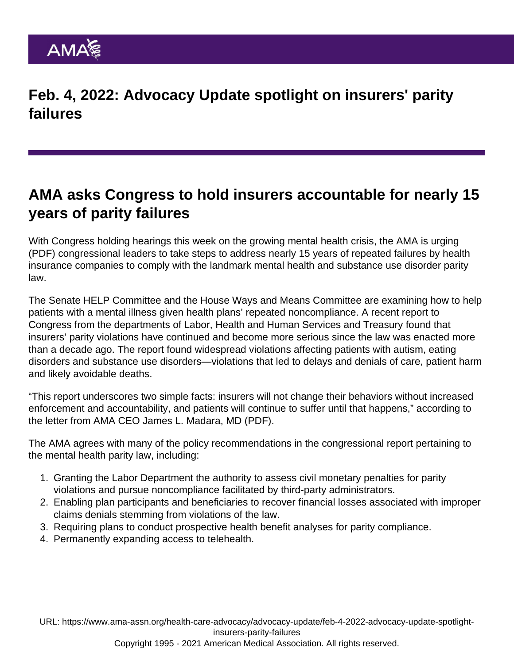Feb. 4, 2022: Advocacy Update spotlight on insurers' parity failures

## AMA asks Congress to hold insurers accountable for nearly 15 years of parity failures

With Congress holding hearings this week on the growing mental health crisis, the AMA [is urging](https://searchlf.ama-assn.org/letter/documentDownload?uri=/unstructured/binary/letter/LETTERS/2022-2-1-Letter-to-Congress-re-MHPAEA-Murray-and-Burr-final.pdf) (PDF) congressional leaders to take steps to address nearly 15 years of repeated failures by health insurance companies to comply with the landmark mental health and substance use disorder parity law.

The [Senate HELP Committee](https://www.help.senate.gov/hearings/mental-health-and-substance-use-disorders-responding-to-the-growing-crisis) and the [House Ways and Means Committee](https://waysandmeans.house.gov/legislation/hearings/america-s-mental-health-crisis) are examining how to help patients with a mental illness given health plans' repeated noncompliance. A recent report to Congress from the departments of Labor, Health and Human Services and Treasury found that insurers' parity violations have continued and become more serious since the law was enacted more than a decade ago. The report found widespread violations affecting patients with autism, eating disorders and substance use disorders—violations that led to delays and denials of care, patient harm and likely avoidable deaths.

"This report underscores two simple facts: insurers will not change their behaviors without increased enforcement and accountability, and patients will continue to suffer until that happens," according to the [letter from AMA CEO James L. Madara, MD](https://searchlf.ama-assn.org/letter/documentDownload?uri=/unstructured/binary/letter/LETTERS/2022-2-2-Letter-to-Congress-re-MHPAEA-v2.pdf) (PDF).

The AMA agrees with many of the policy recommendations in the congressional report pertaining to the mental health parity law, including:

- 1. Granting the Labor Department the authority to assess civil monetary penalties for parity violations and pursue noncompliance facilitated by third-party administrators.
- 2. Enabling plan participants and beneficiaries to recover financial losses associated with improper claims denials stemming from violations of the law.
- 3. Requiring plans to conduct prospective health benefit analyses for parity compliance.
- 4. Permanently expanding access to telehealth.

URL: [https://www.ama-assn.org/health-care-advocacy/advocacy-update/feb-4-2022-advocacy-update-spotlight](https://www.ama-assn.org/health-care-advocacy/advocacy-update/feb-4-2022-advocacy-update-spotlight-insurers-parity-failures)[insurers-parity-failures](https://www.ama-assn.org/health-care-advocacy/advocacy-update/feb-4-2022-advocacy-update-spotlight-insurers-parity-failures)